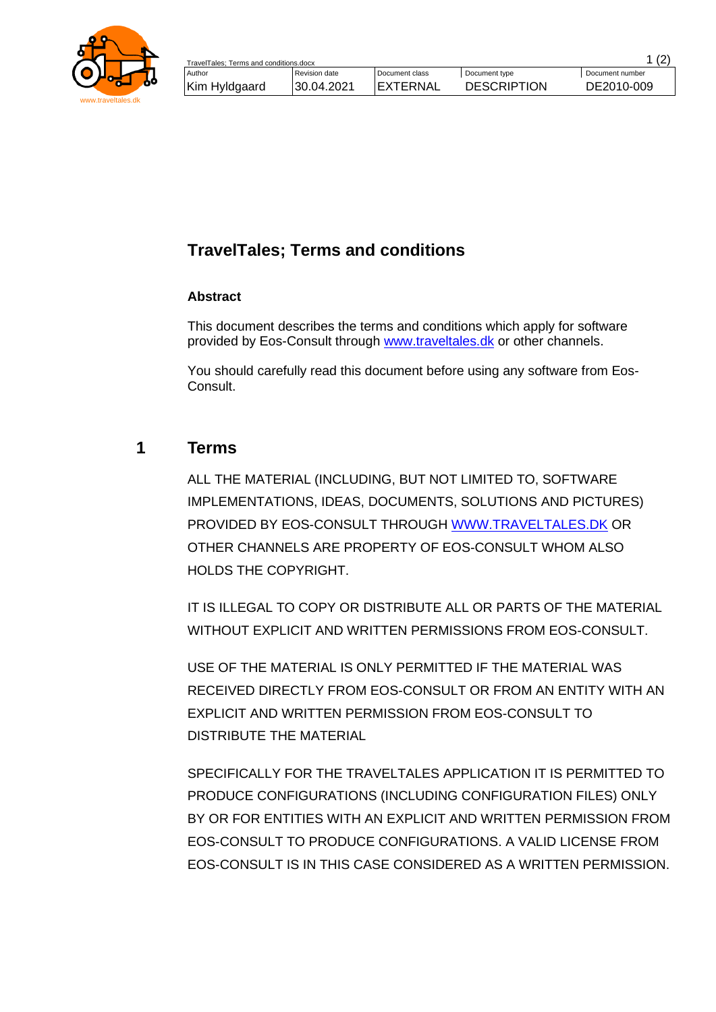

## **TravelTales; Terms and conditions**

## **Abstract**

This document describes the terms and conditions which apply for software provided by Eos-Consult through [www.traveltales.dk](http://www.traveltales.dk/) or other channels.

You should carefully read this document before using any software from Eos-Consult.

## **1 Terms**

ALL THE MATERIAL (INCLUDING, BUT NOT LIMITED TO, SOFTWARE IMPLEMENTATIONS, IDEAS, DOCUMENTS, SOLUTIONS AND PICTURES) PROVIDED BY EOS-CONSULT THROUGH [WWW.TRAVELTALES.DK](http://www.traveltales.dk/) OR OTHER CHANNELS ARE PROPERTY OF EOS-CONSULT WHOM ALSO HOLDS THE COPYRIGHT.

IT IS ILLEGAL TO COPY OR DISTRIBUTE ALL OR PARTS OF THE MATERIAL WITHOUT EXPLICIT AND WRITTEN PERMISSIONS FROM EOS-CONSULT.

USE OF THE MATERIAL IS ONLY PERMITTED IF THE MATERIAL WAS RECEIVED DIRECTLY FROM EOS-CONSULT OR FROM AN ENTITY WITH AN EXPLICIT AND WRITTEN PERMISSION FROM EOS-CONSULT TO DISTRIBUTE THE MATERIAL

SPECIFICALLY FOR THE TRAVELTALES APPLICATION IT IS PERMITTED TO PRODUCE CONFIGURATIONS (INCLUDING CONFIGURATION FILES) ONLY BY OR FOR ENTITIES WITH AN EXPLICIT AND WRITTEN PERMISSION FROM EOS-CONSULT TO PRODUCE CONFIGURATIONS. A VALID LICENSE FROM EOS-CONSULT IS IN THIS CASE CONSIDERED AS A WRITTEN PERMISSION.